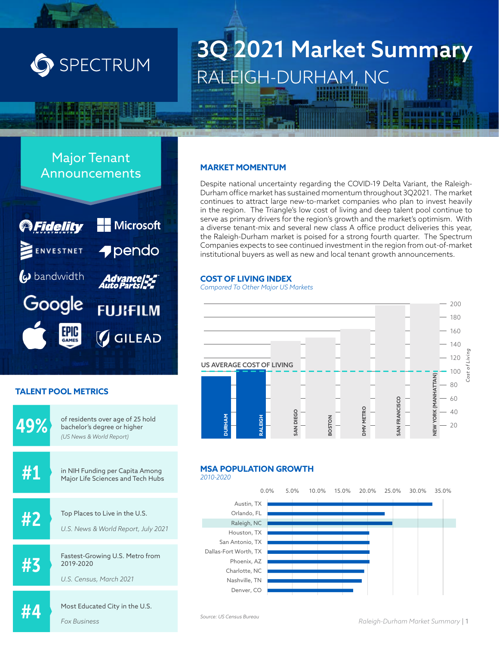

# 3Q 2021 Market Summary RALEIGH-DURHAM, NC

### Major Tenant Announcements **MARKET MOMENTUM**



### **TALENT POOL METRICS**



Despite national uncertainty regarding the COVID-19 Delta Variant, the Raleigh-Durham office market has sustained momentum throughout 3Q2021. The market continues to attract large new-to-market companies who plan to invest heavily in the region. The Triangle's low cost of living and deep talent pool continue to serve as primary drivers for the region's growth and the market's optimism. With a diverse tenant-mix and several new class A office product deliveries this year, the Raleigh-Durham market is poised for a strong fourth quarter. The Spectrum Companies expects to see continued investment in the region from out-of-market institutional buyers as well as new and local tenant growth announcements.

#### **COST OF LIVING INDEX**

*Compared To Other Major US Markets* 



### **MSA POPULATION GROWTH**

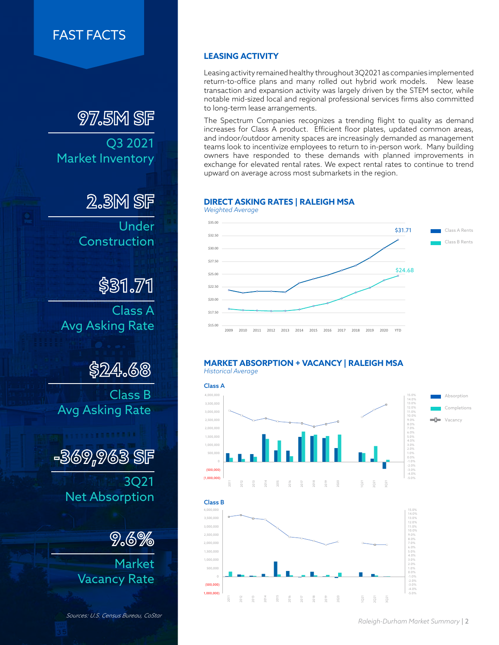### FAST FACTS

## **97.5M SF**

Q3 2021 Market Inventory

**2.3M SF**

Under Construction

**\$31.71**

Class A Avg Asking Rate

**\$24.68**

Class B Avg Asking Rate

**-369,963 SF**

3Q21 Net Absorption

**9.6%**

Market Vacancy Rate

*Sources: U.S. Census Bureau, CoStar*

### **LEASING ACTIVITY**

Leasing activity remained healthy throughout 3Q2021 as companies implemented return-to-office plans and many rolled out hybrid work models. New lease transaction and expansion activity was largely driven by the STEM sector, while notable mid-sized local and regional professional services firms also committed to long-term lease arrangements.

The Spectrum Companies recognizes a trending flight to quality as demand increases for Class A product. Efficient floor plates, updated common areas, and indoor/outdoor amenity spaces are increasingly demanded as management teams look to incentivize employees to return to in-person work. Many building owners have responded to these demands with planned improvements in exchange for elevated rental rates. We expect rental rates to continue to trend upward on average across most submarkets in the region.

#### **DIRECT ASKING RATES | RALEIGH MSA**



#### **MARKET ABSORPTION + VACANCY | RALEIGH MSA** *Historical Average*



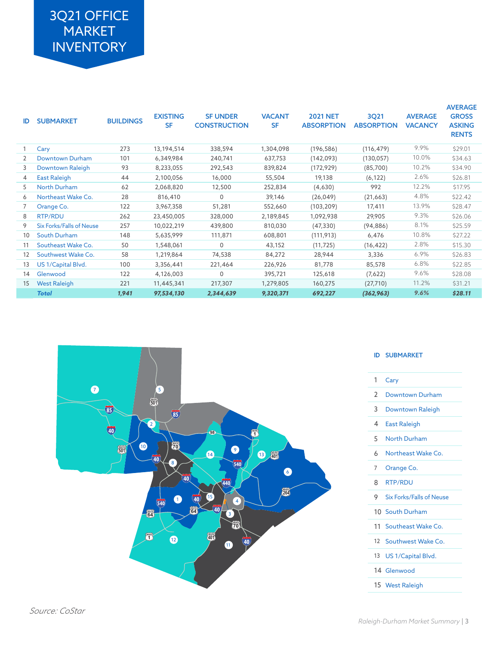## 3Q21 OFFICE MARKET **INVENTORY**

| ID | <b>SUBMARKET</b>                | <b>BUILDINGS</b> | <b>EXISTING</b><br><b>SF</b> | <b>SF UNDER</b><br><b>CONSTRUCTION</b> | <b>VACANT</b><br><b>SF</b> | <b>2021 NET</b><br><b>ABSORPTION</b> | 3Q21<br><b>ABSORPTION</b> | <b>AVERAGE</b><br><b>VACANCY</b> | <b>AVERAGE</b><br><b>GROSS</b><br><b>ASKING</b><br><b>RENTS</b> |
|----|---------------------------------|------------------|------------------------------|----------------------------------------|----------------------------|--------------------------------------|---------------------------|----------------------------------|-----------------------------------------------------------------|
|    | Cary                            | 273              | 13,194,514                   | 338,594                                | 1,304,098                  | (196, 586)                           | (116, 479)                | 9.9%                             | \$29.01                                                         |
| 2  | Downtown Durham                 | 101              | 6,349,984                    | 240,741                                | 637,753                    | (142,093)                            | (130, 057)                | 10.0%                            | \$34.63                                                         |
| 3  | Downtown Raleigh                | 93               | 8,233,055                    | 292,543                                | 839,824                    | (172, 929)                           | (85,700)                  | 10.2%                            | \$34.90                                                         |
| 4  | East Raleigh                    | 44               | 2,100,056                    | 16,000                                 | 55,504                     | 19,138                               | (6, 122)                  | 2.6%                             | \$26.81                                                         |
| 5  | <b>North Durham</b>             | 62               | 2,068,820                    | 12,500                                 | 252,834                    | (4,630)                              | 992                       | 12.2%                            | \$17.95                                                         |
| 6  | Northeast Wake Co.              | 28               | 816,410                      | $\Omega$                               | 39,146                     | (26, 049)                            | (21,663)                  | 4.8%                             | \$22.42                                                         |
|    | Orange Co.                      | 122              | 3,967,358                    | 51,281                                 | 552,660                    | (103, 209)                           | 17,411                    | 13.9%                            | \$28.47                                                         |
| 8  | RTP/RDU                         | 262              | 23,450,005                   | 328,000                                | 2,189,845                  | 1,092,938                            | 29,905                    | 9.3%                             | \$26.06                                                         |
| 9  | <b>Six Forks/Falls of Neuse</b> | 257              | 10,022,219                   | 439,800                                | 810,030                    | (47, 330)                            | (94, 886)                 | 8.1%                             | \$25.59                                                         |
| 10 | <b>South Durham</b>             | 148              | 5,635,999                    | 111,871                                | 608,801                    | (111, 913)                           | 6,476                     | 10.8%                            | \$27.22                                                         |
| 11 | Southeast Wake Co.              | 50               | 1,548,061                    | $\Omega$                               | 43,152                     | (11, 725)                            | (16, 422)                 | 2.8%                             | \$15.30                                                         |
| 12 | Southwest Wake Co.              | 58               | 1,219,864                    | 74,538                                 | 84,272                     | 28,944                               | 3,336                     | 6.9%                             | \$26.83                                                         |
| 13 | US 1/Capital Blvd.              | 100              | 3,356,441                    | 221,464                                | 226,926                    | 81,778                               | 85,578                    | 6.8%                             | \$22.85                                                         |
| 14 | Glenwood                        | 122              | 4,126,003                    | 0                                      | 395,721                    | 125,618                              | (7,622)                   | 9.6%                             | \$28.08                                                         |
| 15 | <b>West Raleigh</b>             | 221              | 11,445,341                   | 217,307                                | 1,279,805                  | 160,275                              | (27, 710)                 | 11.2%                            | \$31.21                                                         |
|    | <b>Total</b>                    | 1,941            | 97,534,130                   | 2,344,639                              | 9,320,371                  | 692,227                              | (362, 963)                | 9.6%                             | \$28.11                                                         |